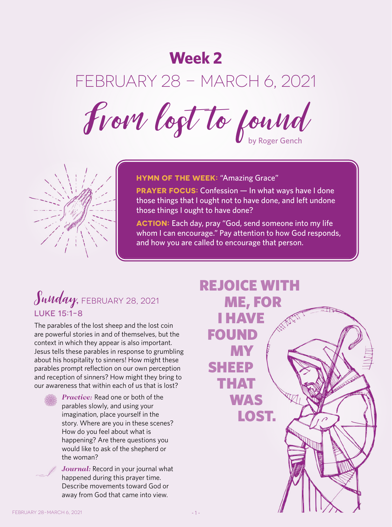## **Week 2**

# FEBRUARY 28 – MARCH 6, 2021

From logt to found



**HYMN OF THE WEEK: "Amazing Grace"** 

**PRAYER FOCUS:** Confession — In what ways have I done those things that I ought not to have done, and left undone those things I ought to have done?

**ACTION:** Each day, pray "God, send someone into my life whom I can encourage." Pay attention to how God responds, and how you are called to encourage that person.

## Sunday, FEBRUARY 28, 2021 LUKE 15:1-8

The parables of the lost sheep and the lost coin are powerful stories in and of themselves, but the context in which they appear is also important. Jesus tells these parables in response to grumbling about his hospitality to sinners! How might these parables prompt reflection on our own perception and reception of sinners? How might they bring to our awareness that within each of us that is lost?



*Practice:* Read one or both of the parables slowly, and using your imagination, place yourself in the story. Where are you in these scenes? How do you feel about what is happening? Are there questions you would like to ask of the shepherd or the woman?



*Journal:* Record in your journal what happened during this prayer time. Describe movements toward God or away from God that came into view.

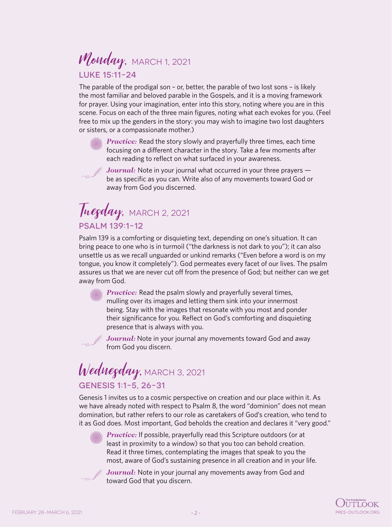#### Monday, MARCH 1, 2021 LUKE 15:11-24

The parable of the prodigal son – or, better, the parable of two lost sons – is likely the most familiar and beloved parable in the Gospels, and it is a moving framework for prayer. Using your imagination, enter into this story, noting where you are in this scene. Focus on each of the three main figures, noting what each evokes for you. (Feel free to mix up the genders in the story: you may wish to imagine two lost daughters or sisters, or a compassionate mother.)



*Practice:* Read the story slowly and prayerfully three times, each time focusing on a different character in the story. Take a few moments after each reading to reflect on what surfaced in your awareness.



*Journal:* Note in your journal what occurred in your three prayers be as specific as you can. Write also of any movements toward God or away from God you discerned.

#### Tuegday, MARCH 2, 2021 PSALM 139:1-12

Psalm 139 is a comforting or disquieting text, depending on one's situation. It can bring peace to one who is in turmoil ("the darkness is not dark to you"); it can also unsettle us as we recall unguarded or unkind remarks ("Even before a word is on my tongue, you know it completely"). God permeates every facet of our lives. The psalm assures us that we are never cut off from the presence of God; but neither can we get away from God.

> *Practice:* Read the psalm slowly and prayerfully several times, mulling over its images and letting them sink into your innermost being. Stay with the images that resonate with you most and ponder their significance for you. Reflect on God's comforting and disquieting presence that is always with you.

*Journal:* Note in your journal any movements toward God and away from God you discern.

## Wednegday, MARCH 3, 2021 GENESIS 1:1-5, 26-31

Genesis 1 invites us to a cosmic perspective on creation and our place within it. As we have already noted with respect to Psalm 8, the word "dominion" does not mean domination, but rather refers to our role as caretakers of God's creation, who tend to it as God does. Most important, God beholds the creation and declares it "very good."

*Practice:* If possible, prayerfully read this Scripture outdoors (or at least in proximity to a window) so that you too can behold creation. Read it three times, contemplating the images that speak to you the most, aware of God's sustaining presence in all creation and in your life.



*Journal:* Note in your journal any movements away from God and toward God that you discern.